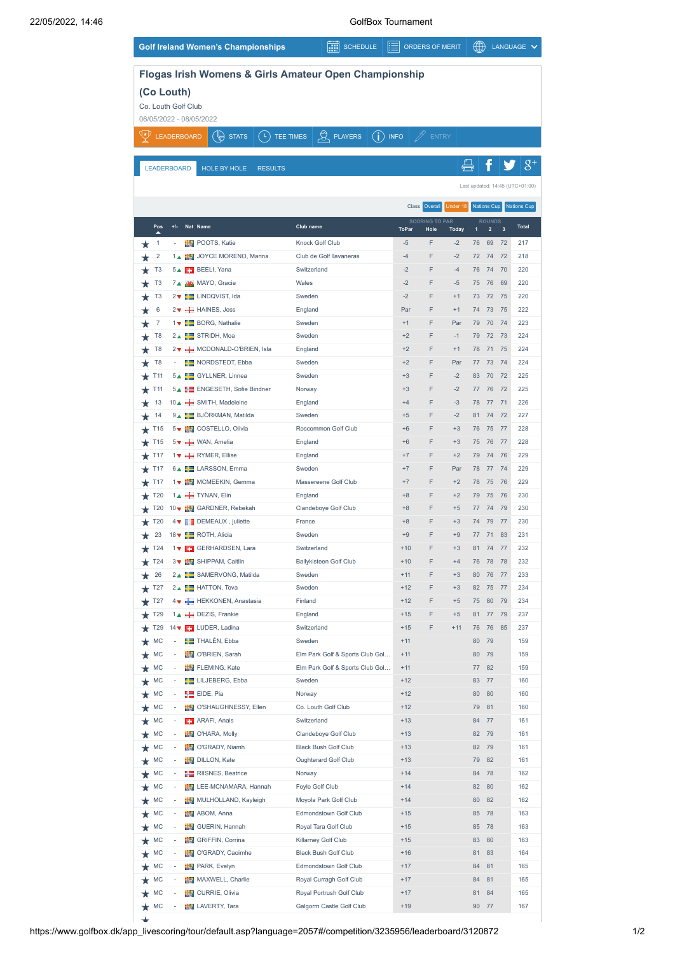|                            |                 |                     | <b>Golf Ireland Women's Championships</b>             |                     | 團<br><b>SCHEDULE</b>            |            | ⊫              | <b>ORDERS OF MERIT</b>                    |              | ∰        |                                          |          | LANGUAGE V                      |
|----------------------------|-----------------|---------------------|-------------------------------------------------------|---------------------|---------------------------------|------------|----------------|-------------------------------------------|--------------|----------|------------------------------------------|----------|---------------------------------|
|                            |                 |                     | Flogas Irish Womens & Girls Amateur Open Championship |                     |                                 |            |                |                                           |              |          |                                          |          |                                 |
|                            |                 | (Co Louth)          |                                                       |                     |                                 |            |                |                                           |              |          |                                          |          |                                 |
|                            |                 | Co. Louth Golf Club |                                                       |                     |                                 |            |                |                                           |              |          |                                          |          |                                 |
|                            |                 |                     | 06/05/2022 - 08/05/2022                               |                     |                                 |            |                |                                           |              |          |                                          |          |                                 |
|                            |                 | <b>LEADERBOARD</b>  | ( r.<br>Ú₩<br><b>STATS</b>                            | TEE TIMES           | $Q$ PLAYERS                     | $\bigcirc$ | <b>INFO</b>    |                                           | <b>ENTRY</b> |          |                                          |          |                                 |
|                            |                 |                     |                                                       |                     |                                 |            |                |                                           |              |          |                                          |          |                                 |
|                            |                 | <b>LEADERBOARD</b>  | <b>HOLE BY HOLE</b>                                   | <b>RESULTS</b>      |                                 |            |                |                                           |              |          |                                          |          | $8^{\scriptscriptstyle +}$      |
|                            |                 |                     |                                                       |                     |                                 |            |                |                                           |              |          |                                          |          | Last updated: 14:45 (UTC+01:00) |
|                            |                 |                     |                                                       |                     |                                 |            |                |                                           |              |          |                                          |          |                                 |
|                            |                 |                     |                                                       |                     |                                 |            |                | Class<br>Overall<br><b>SCORING TO PAR</b> | Under 18     |          | <b>Nations Cup</b>                       |          | <b>Nations Cup</b>              |
|                            | Pos<br>▴        | +/-                 | Nat Name                                              | Club name           |                                 |            | <b>ToPar</b>   | Hole                                      | <b>Today</b> | 1        | <b>ROUNDS</b><br>$\overline{\mathbf{c}}$ | 3        | <b>Total</b>                    |
| ★                          | 1               |                     | POOTS, Katie                                          | Knock Golf Club     |                                 |            | $-5$           | F                                         | $-2$         | 76       | 69                                       | 72       | 217                             |
|                            | $\overline{2}$  |                     | 1▲ FU JOYCE MORENO, Marina                            |                     | Club de Golf llavaneras         |            | $-4$           | F                                         | $-2$         | 72       | 74                                       | 72       | 218                             |
| T <sub>3</sub>             |                 |                     | 5▲ BEELI, Yana                                        | Switzerland         |                                 |            | $-2$           | F                                         | $-4$         | 76       | 74                                       | 70       | 220                             |
| T <sub>3</sub>             |                 |                     | 7 MAYO, Gracie                                        | Wales               |                                 |            | $-2$           | F                                         | $-5$         | 75       | 76                                       | 69       | 220                             |
| T <sub>3</sub>             | 6               |                     | 2▼ E LINDQVIST, Ida<br>2▼ - HAINES, Jess              | Sweden<br>England   |                                 |            | $-2$<br>Par    | F<br>F                                    | $+1$<br>$+1$ | 73<br>74 | 72<br>73                                 | 75<br>75 | 220<br>222                      |
|                            | 7               |                     | 1 V BORG, Nathalie                                    | Sweden              |                                 |            | $+1$           | F                                         | Par          | 79       | 70                                       | 74       | 223                             |
|                            | T <sub>8</sub>  |                     | 2▲ STRIDH, Moa                                        | Sweden              |                                 |            | $+2$           | F                                         | $-1$         | 79       | 72                                       | 73       | 224                             |
|                            | T <sub>8</sub>  |                     | 2▼ → MCDONALD-O'BRIEN, Isla                           | England             |                                 |            | $+2$           | F                                         | $+1$         | 78       | 71                                       | 75       | 224                             |
|                            | T <sub>8</sub>  |                     | NORDSTEDT, Ebba                                       | Sweden              |                                 |            | $+2$           | F                                         | Par          | 77       | 73                                       | 74       | 224                             |
| T <sub>11</sub>            |                 |                     | 5▲ GYLLNER, Linnea                                    | Sweden              |                                 |            | $+3$           | F                                         | $-2$         | 83       | 70                                       | 72       | 225                             |
| T <sub>11</sub>            |                 |                     | 5▲ He ENGESETH, Sofie Bindner                         | Norway              |                                 |            | $+3$           | F                                         | $-2$         | 77       | 76                                       | 72       | 225                             |
|                            | 13              |                     | 10▲ H SMITH, Madeleine                                | England             |                                 |            | $+4$           | F                                         | $-3$         | 78       | 77                                       | 71       | 226                             |
| 14                         |                 |                     | 9▲ BJÖRKMAN, Matilda                                  | Sweden              |                                 |            | $+5$           | F                                         | $-2$         | 81       | 74                                       | 72       | 227                             |
| T <sub>15</sub>            |                 |                     | 5▼ EV COSTELLO, Olivia                                |                     | Roscommon Golf Club             |            | $+6$           | F                                         | $+3$         | 76       | 75                                       | 77       | 228                             |
| T <sub>15</sub>            |                 |                     | 5 VAN, Amelia                                         | England             |                                 |            | $+6$           | F<br>F                                    | $+3$         | 75       | 76                                       | 77       | 228                             |
| T <sub>17</sub><br>T17     |                 |                     | 1 v + RYMER, Ellise<br>6▲ ELARSSON, Emma              | England<br>Sweden   |                                 |            | $+7$<br>$+7$   | F                                         | $+2$<br>Par  | 79<br>78 | 74<br>77                                 | 76<br>74 | 229<br>229                      |
| T <sub>17</sub>            |                 |                     | 1▼ MCMEEKIN, Gemma                                    |                     | Massereene Golf Club            |            | $+7$           | F                                         | $+2$         | 78       | 75                                       | 76       | 229                             |
| T20                        |                 |                     | 14 TYNAN, Elin                                        | England             |                                 |            | $+8$           | F                                         | $+2$         | 79       | 75                                       | 76       | 230                             |
|                            | T20             |                     | 10▼ FI GARDNER, Rebekah                               |                     | Clandeboye Golf Club            |            | $+8$           | F                                         | $+5$         | 77       | 74                                       | 79       | 230                             |
|                            | T20             |                     | 4 V DEMEAUX, juliette                                 | France              |                                 |            | $+8$           | F                                         | $+3$         | 74       | 79                                       | 77       | 230                             |
| 23                         |                 |                     | 18 ▼ POTH, Alicia                                     | Sweden              |                                 |            | $+9$           | F                                         | $+9$         | 77       | 71                                       | 83       | 231                             |
|                            | T <sub>24</sub> |                     | GERHARDSEN, Lara                                      | Switzerland         |                                 |            | $+10$          |                                           | $+3$         | 81       | 74                                       | 77       | 232                             |
| $\star$ T24                |                 |                     | 3 V EV SHIPPAM, Caitlin                               |                     | <b>Ballykisteen Golf Club</b>   |            | $+10$          | F                                         | $+4$         | 76       | 78                                       | 78       | 232                             |
|                            | 26              |                     | 2▲ SAMERVONG, Matilda                                 | Sweden              |                                 |            | $+11$          | F                                         | $+3$         | 80       | 76                                       | 77       | 233                             |
| T <sub>27</sub>            |                 |                     | 2▲ HATTON, Tova                                       | Sweden              |                                 |            | $+12$          | F                                         | $+3$         | 82       | 75                                       | 77       | 234                             |
| $\bigstar$ T27             |                 |                     | 4 V HEKKONEN, Anastasia<br>14 - DEZIS, Frankie        | Finland<br>England  |                                 |            | $+12$          | F<br>F<br>$+15$                           | $+5$<br>$+5$ | 75<br>81 | 80<br>77                                 | 79<br>79 | 234<br>237                      |
| $\star$ T29<br>$\star$ T29 |                 |                     | 14 ▼ ■ LUDER, Ladina                                  | Switzerland         |                                 |            | $+15$          | F                                         | $+11$        | 76       | 76                                       | 85       | 237                             |
| $\star$ MC                 |                 |                     | <b>FE</b> THALÉN, Ebba                                | Sweden              |                                 |            | $+11$          |                                           |              | 80       | 79                                       |          | 159                             |
| $\star$ MC                 |                 |                     | O'BRIEN, Sarah                                        |                     | Elm Park Golf & Sports Club Gol |            | $+11$          |                                           |              | 80       | 79                                       |          | 159                             |
| $\star$ MC                 |                 |                     | FLEMING, Kate                                         |                     | Elm Park Golf & Sports Club Gol |            | $+11$          |                                           |              |          | 77 82                                    |          | 159                             |
| $\star$ MC                 |                 |                     | <b>Example 2</b> LILJEBERG, Ebba                      | Sweden              |                                 |            | $+12$          |                                           |              |          | 83 77                                    |          | 160                             |
| MC                         |                 |                     | EIDE, Pia                                             | Norway              |                                 |            | $+12$          |                                           |              | 80       | 80                                       |          | 160                             |
| MC                         |                 |                     | <b>DEV</b> O'SHAUGHNESSY, Ellen                       |                     | Co. Louth Golf Club             |            | $+12$          |                                           |              | 79       | 81                                       |          | 160                             |
| MC                         |                 |                     | <b>EX</b> ARAFI, Anais                                | Switzerland         |                                 |            | $+13$          |                                           |              | 84       | 77                                       |          | 161                             |
| MC                         |                 |                     | O'HARA, Molly                                         |                     | Clandeboye Golf Club            |            | $+13$          |                                           |              | 82       | 79                                       |          | 161                             |
| MC                         |                 |                     | O'GRADY, Niamh                                        |                     | <b>Black Bush Golf Club</b>     |            | $+13$          |                                           |              | 82       | 79                                       |          | 161                             |
| MC<br>MC                   |                 |                     | DILLON, Kate<br>RIISNES, Beatrice                     | Norway              | Oughterard Golf Club            |            | $+13$<br>$+14$ |                                           |              | 79<br>84 | 82<br>78                                 |          | 161<br>162                      |
| MC                         |                 |                     | LEE-MCNAMARA, Hannah                                  | Foyle Golf Club     |                                 |            | $+14$          |                                           |              | 82       | 80                                       |          | 162                             |
| MC                         |                 |                     | MULHOLLAND, Kayleigh                                  |                     | Moyola Park Golf Club           |            | $+14$          |                                           |              | 80       | 82                                       |          | 162                             |
| MC                         |                 |                     | ABOM, Anna                                            |                     | Edmondstown Golf Club           |            | $+15$          |                                           |              | 85       | 78                                       |          | 163                             |
| MC                         |                 |                     | GUERIN, Hannah                                        |                     | Royal Tara Golf Club            |            | $+15$          |                                           |              | 85       | 78                                       |          | 163                             |
| MC                         |                 |                     | GRIFFIN, Corrina                                      | Killarney Golf Club |                                 |            | $+15$          |                                           |              | 83       | 80                                       |          | 163                             |
| MC                         |                 |                     | O'GRADY, Caoimhe                                      |                     | <b>Black Bush Golf Club</b>     |            | $+16$          |                                           |              | 81       | 83                                       |          | 164                             |
| MC                         |                 |                     | <b>PARK, Evelyn</b>                                   |                     | Edmondstown Golf Club           |            | $+17$          |                                           |              | 84       | 81                                       |          | 165                             |
| MC                         |                 |                     | MAXWELL, Charlie                                      |                     | Royal Curragh Golf Club         |            |                | $+17$                                     |              | 84       | 81                                       |          | 165                             |
| MC                         |                 |                     | CURRIE, Olivia                                        |                     | Royal Portrush Golf Club        |            | $+17$          |                                           |              | 81       | 84                                       |          | 165                             |
| $\star$ MC                 |                 |                     | LAVERTY, Tara                                         |                     | Galgorm Castle Golf Club        |            |                | $+19$                                     |              |          | 90 77                                    |          | 167                             |

 $\ddot{}$